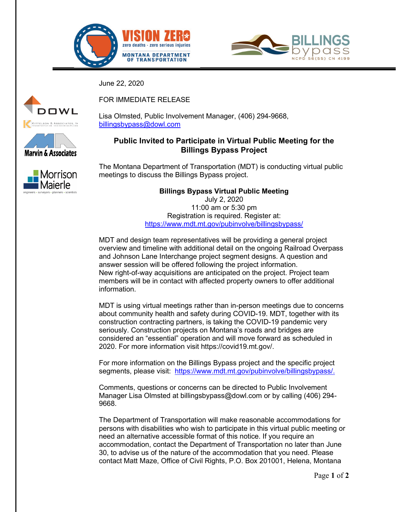



June 22, 2020







FOR IMMEDIATE RELEASE

Lisa Olmsted, Public Involvement Manager, (406) 294-9668, [billingsbypass@dowl.com](file://BIL-FS/BIL-projects/24/20946-01/50Design/0101/01.%20Public%20Announcements%20(Draft%20and%20Final)/Press%20Releases/billingsbypass@dowl.com)

## **Public Invited to Participate in Virtual Public Meeting for the Billings Bypass Project**

The Montana Department of Transportation (MDT) is conducting virtual public meetings to discuss the Billings Bypass project.

> **Billings Bypass Virtual Public Meeting** July 2, 2020 11:00 am or 5:30 pm Registration is required. Register at: <https://www.mdt.mt.gov/pubinvolve/billingsbypass/>

MDT and design team representatives will be providing a general project overview and timeline with additional detail on the ongoing Railroad Overpass and Johnson Lane Interchange project segment designs. A question and answer session will be offered following the project information. New right-of-way acquisitions are anticipated on the project. Project team members will be in contact with affected property owners to offer additional information.

MDT is using virtual meetings rather than in-person meetings due to concerns about community health and safety during COVID-19. MDT, together with its construction contracting partners, is taking the COVID-19 pandemic very seriously. Construction projects on Montana's roads and bridges are considered an "essential" operation and will move forward as scheduled in 2020. For more information visit https://covid19.mt.gov/.

For more information on the Billings Bypass project and the specific project segments, please visit: [https://www.mdt.mt.gov/pubinvolve/billingsbypass/.](https://www.mdt.mt.gov/pubinvolve/billingsbypass/)

Comments, questions or concerns can be directed to Public Involvement Manager Lisa Olmsted at billingsbypass@dowl.com or by calling (406) 294- 9668.

The Department of Transportation will make reasonable accommodations for persons with disabilities who wish to participate in this virtual public meeting or need an alternative accessible format of this notice. If you require an accommodation, contact the Department of Transportation no later than June 30, to advise us of the nature of the accommodation that you need. Please contact Matt Maze, Office of Civil Rights, P.O. Box 201001, Helena, Montana